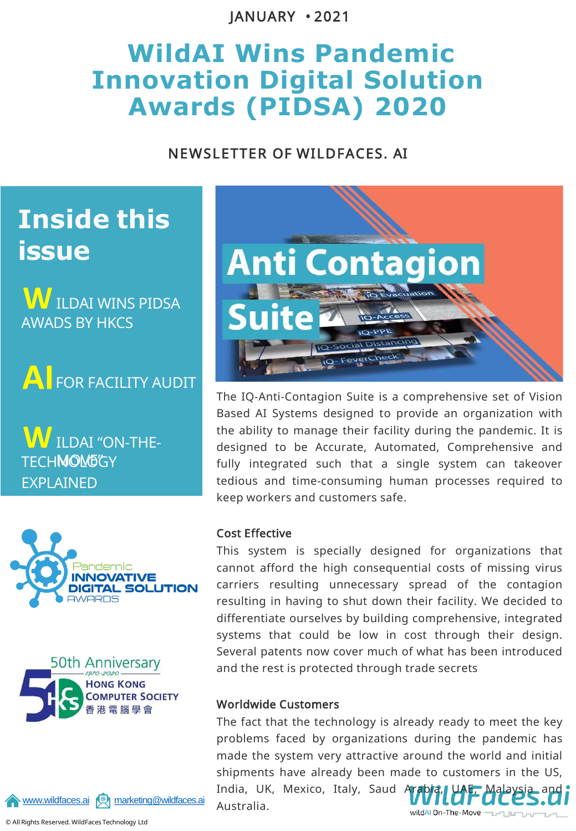JANUARY • 2021

# **WildAI Wins Pandemic Innovation Digital Solution Awards (PIDSA) 2020**

### NEWSLETTER OF WILDFACES. AI

# **Inside this issue**

 $\boldsymbol{\mathsf{W}}$  ildai wins pidsa AWADS BY HKCS

**AI**FOR FACILITY AUDIT

**W** ILDAI "ON-THE-**TECHMOM6GY** EXPLAINED







The IQ-Anti-Contagion Suite is a comprehensive set of Vision Based AI Systems designed to provide an organization with the ability to manage their facility during the pandemic. It is designed to be Accurate, Automated, Comprehensive and fully integrated such that a single system can takeover tedious and time-consuming human processes required to keep workers and customers safe.

#### Cost Effective

This system is specially designed for organizations that cannot afford the high consequential costs of missing virus carriers resulting unnecessary spread of the contagion resulting in having to shut down their facility. We decided to differentiate ourselves by building comprehensive, integrated systems that could be low in cost through their design. Several patents now cover much of what has been introduced and the rest is protected through trade secrets

#### Worldwide Customers

The fact that the technology is already ready to meet the key problems faced by organizations during the pandemic has made the system very attractive around the world and initial shipments have already been made to customers in the US, India, UK, Mexico, Italy, Saud Arabia Australia.wildAl On-The-Move ------



© All Rights Reserved. WildFaces Technology Ltd